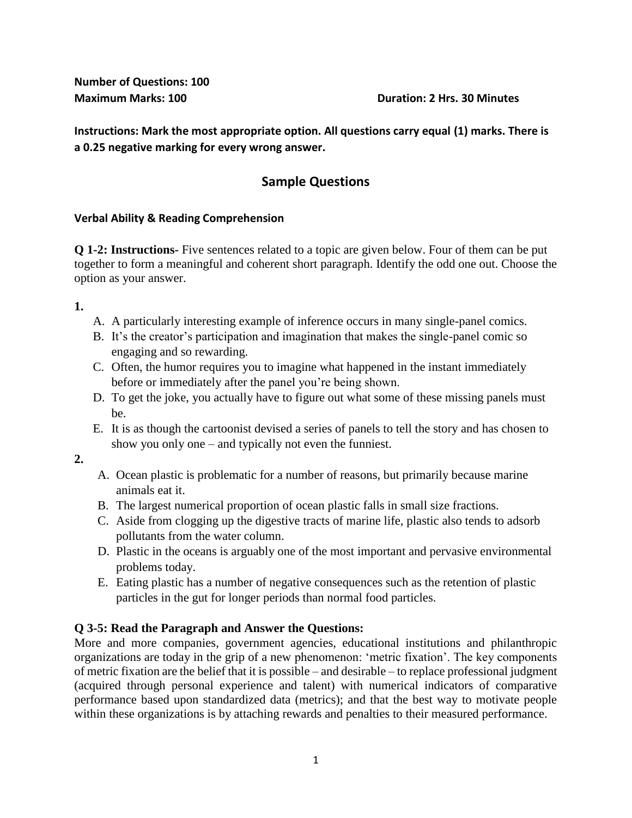**Number of Questions: 100** 

### **Maximum Marks: 100 Duration: 2 Hrs. 30 Minutes**

**Instructions: Mark the most appropriate option. All questions carry equal (1) marks. There is a 0.25 negative marking for every wrong answer.** 

# **Sample Questions**

### **Verbal Ability & Reading Comprehension**

**Q 1-2: Instructions-** Five sentences related to a topic are given below. Four of them can be put together to form a meaningful and coherent short paragraph. Identify the odd one out. Choose the option as your answer.

**1.** 

- A. A particularly interesting example of inference occurs in many single-panel comics.
- B. It's the creator's participation and imagination that makes the single-panel comic so engaging and so rewarding.
- C. Often, the humor requires you to imagine what happened in the instant immediately before or immediately after the panel you're being shown.
- D. To get the joke, you actually have to figure out what some of these missing panels must be.
- E. It is as though the cartoonist devised a series of panels to tell the story and has chosen to show you only one – and typically not even the funniest.

**2.**

- A. Ocean plastic is problematic for a number of reasons, but primarily because marine animals eat it.
- B. The largest numerical proportion of ocean plastic falls in small size fractions.
- C. Aside from clogging up the digestive tracts of marine life, plastic also tends to adsorb pollutants from the water column.
- D. Plastic in the oceans is arguably one of the most important and pervasive environmental problems today.
- E. Eating plastic has a number of negative consequences such as the retention of plastic particles in the gut for longer periods than normal food particles.

## **Q 3-5: Read the Paragraph and Answer the Questions:**

More and more companies, government agencies, educational institutions and philanthropic organizations are today in the grip of a new phenomenon: 'metric fixation'. The key components of metric fixation are the belief that it is possible – and desirable – to replace professional judgment (acquired through personal experience and talent) with numerical indicators of comparative performance based upon standardized data (metrics); and that the best way to motivate people within these organizations is by attaching rewards and penalties to their measured performance.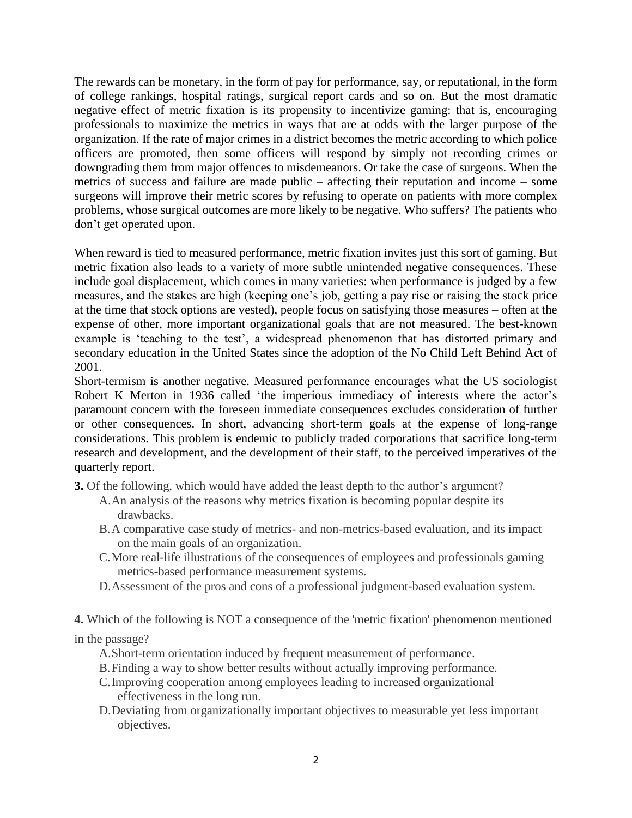The rewards can be monetary, in the form of pay for performance, say, or reputational, in the form of college rankings, hospital ratings, surgical report cards and so on. But the most dramatic negative effect of metric fixation is its propensity to incentivize gaming: that is, encouraging professionals to maximize the metrics in ways that are at odds with the larger purpose of the organization. If the rate of major crimes in a district becomes the metric according to which police officers are promoted, then some officers will respond by simply not recording crimes or downgrading them from major offences to misdemeanors. Or take the case of surgeons. When the metrics of success and failure are made public – affecting their reputation and income – some surgeons will improve their metric scores by refusing to operate on patients with more complex problems, whose surgical outcomes are more likely to be negative. Who suffers? The patients who don't get operated upon.

When reward is tied to measured performance, metric fixation invites just this sort of gaming. But metric fixation also leads to a variety of more subtle unintended negative consequences. These include goal displacement, which comes in many varieties: when performance is judged by a few measures, and the stakes are high (keeping one's job, getting a pay rise or raising the stock price at the time that stock options are vested), people focus on satisfying those measures – often at the expense of other, more important organizational goals that are not measured. The best-known example is 'teaching to the test', a widespread phenomenon that has distorted primary and secondary education in the United States since the adoption of the No Child Left Behind Act of 2001.

Short-termism is another negative. Measured performance encourages what the US sociologist Robert K Merton in 1936 called 'the imperious immediacy of interests where the actor's paramount concern with the foreseen immediate consequences excludes consideration of further or other consequences. In short, advancing short-term goals at the expense of long-range considerations. This problem is endemic to publicly traded corporations that sacrifice long-term research and development, and the development of their staff, to the perceived imperatives of the quarterly report.

- **3.** Of the following, which would have added the least depth to the author's argument?
	- A.An analysis of the reasons why metrics fixation is becoming popular despite its drawbacks.
	- B.A comparative case study of metrics- and non-metrics-based evaluation, and its impact on the main goals of an organization.
	- C.More real-life illustrations of the consequences of employees and professionals gaming metrics-based performance measurement systems.
	- D.Assessment of the pros and cons of a professional judgment-based evaluation system.

**4.** Which of the following is NOT a consequence of the 'metric fixation' phenomenon mentioned

in the passage?

- A.Short-term orientation induced by frequent measurement of performance.
- B.Finding a way to show better results without actually improving performance.
- C.Improving cooperation among employees leading to increased organizational effectiveness in the long run.
- D.Deviating from organizationally important objectives to measurable yet less important objectives.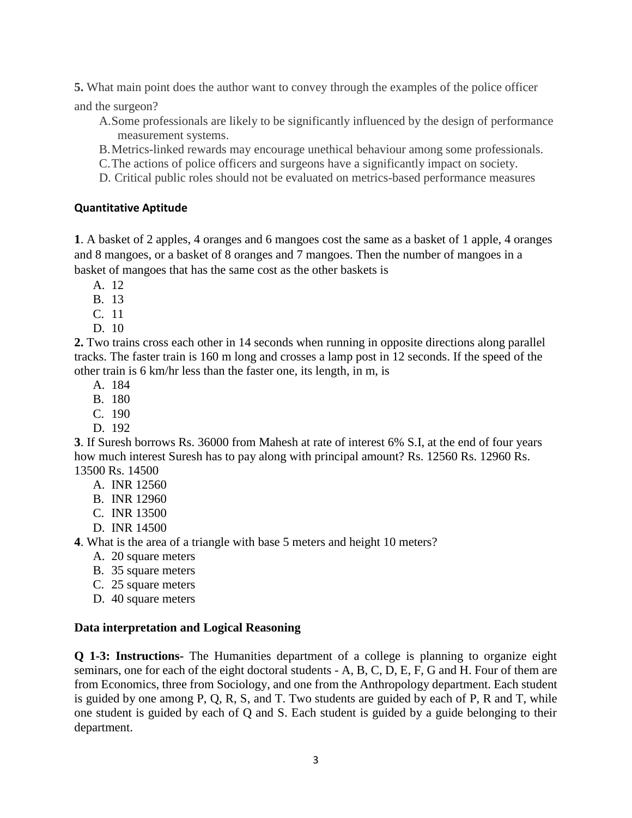**5.** What main point does the author want to convey through the examples of the police officer

and the surgeon?

- A.Some professionals are likely to be significantly influenced by the design of performance measurement systems.
- B.Metrics-linked rewards may encourage unethical behaviour among some professionals.
- C.The actions of police officers and surgeons have a significantly impact on society.
- D. Critical public roles should not be evaluated on metrics-based performance measures

## **Quantitative Aptitude**

**1**. A basket of 2 apples, 4 oranges and 6 mangoes cost the same as a basket of 1 apple, 4 oranges and 8 mangoes, or a basket of 8 oranges and 7 mangoes. Then the number of mangoes in a basket of mangoes that has the same cost as the other baskets is

- A. 12
- B. 13
- C. 11
- D. 10

**2.** Two trains cross each other in 14 seconds when running in opposite directions along parallel tracks. The faster train is 160 m long and crosses a lamp post in 12 seconds. If the speed of the other train is 6 km/hr less than the faster one, its length, in m, is

- A. 184
- B. 180
- C. 190
- D. 192

**3**. If Suresh borrows Rs. 36000 from Mahesh at rate of interest 6% S.I, at the end of four years how much interest Suresh has to pay along with principal amount? Rs. 12560 Rs. 12960 Rs. 13500 Rs. 14500

- A. INR 12560
- B. INR 12960
- C. INR 13500
- D. INR 14500

**4**. What is the area of a triangle with base 5 meters and height 10 meters?

- A. 20 square meters
- B. 35 square meters
- C. 25 square meters
- D. 40 square meters

## **Data interpretation and Logical Reasoning**

**Q 1-3: Instructions-** The Humanities department of a college is planning to organize eight seminars, one for each of the eight doctoral students - A, B, C, D, E, F, G and H. Four of them are from Economics, three from Sociology, and one from the Anthropology department. Each student is guided by one among P, Q, R, S, and T. Two students are guided by each of P, R and T, while one student is guided by each of Q and S. Each student is guided by a guide belonging to their department.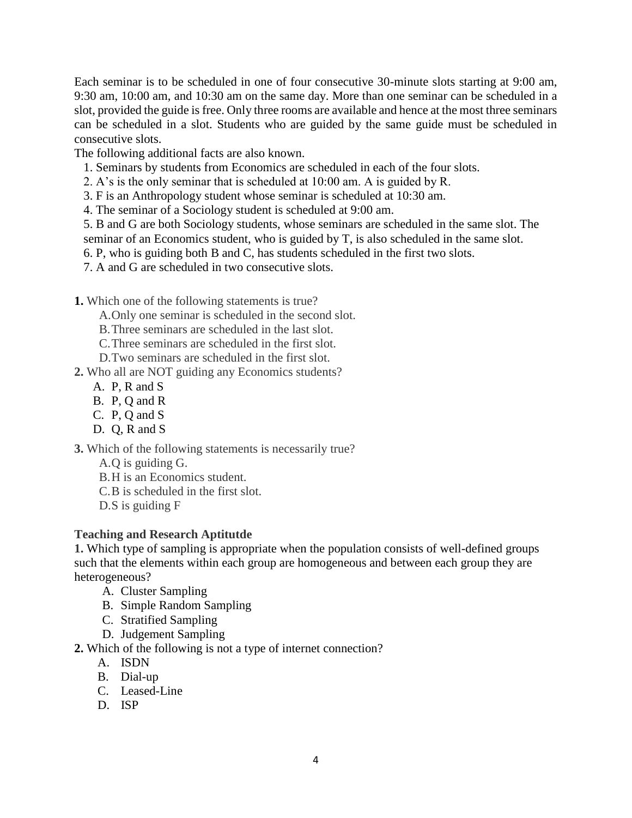Each seminar is to be scheduled in one of four consecutive 30-minute slots starting at 9:00 am, 9:30 am, 10:00 am, and 10:30 am on the same day. More than one seminar can be scheduled in a slot, provided the guide is free. Only three rooms are available and hence at the most three seminars can be scheduled in a slot. Students who are guided by the same guide must be scheduled in consecutive slots.

The following additional facts are also known.

- 1. Seminars by students from Economics are scheduled in each of the four slots.
- 2. A's is the only seminar that is scheduled at 10:00 am. A is guided by R.
- 3. F is an Anthropology student whose seminar is scheduled at 10:30 am.

4. The seminar of a Sociology student is scheduled at 9:00 am.

5. B and G are both Sociology students, whose seminars are scheduled in the same slot. The seminar of an Economics student, who is guided by T, is also scheduled in the same slot.

6. P, who is guiding both B and C, has students scheduled in the first two slots.

7. A and G are scheduled in two consecutive slots.

**1.** Which one of the following statements is true?

A.Only one seminar is scheduled in the second slot.

B.Three seminars are scheduled in the last slot.

C.Three seminars are scheduled in the first slot.

D.Two seminars are scheduled in the first slot.

**2.** Who all are NOT guiding any Economics students?

- A. P, R and S
- B. P, Q and R
- C. P, Q and S
- D. Q, R and S

**3.** Which of the following statements is necessarily true?

- A.Q is guiding G.
- B.H is an Economics student.
- C.B is scheduled in the first slot.
- D.S is guiding F

#### **Teaching and Research Aptitutde**

**1.** Which type of sampling is appropriate when the population consists of well-defined groups such that the elements within each group are homogeneous and between each group they are heterogeneous?

- A. Cluster Sampling
- B. Simple Random Sampling
- C. Stratified Sampling
- D. Judgement Sampling

**2.** Which of the following is not a type of internet connection?

- A. ISDN
- B. Dial-up
- C. Leased-Line
- D. ISP